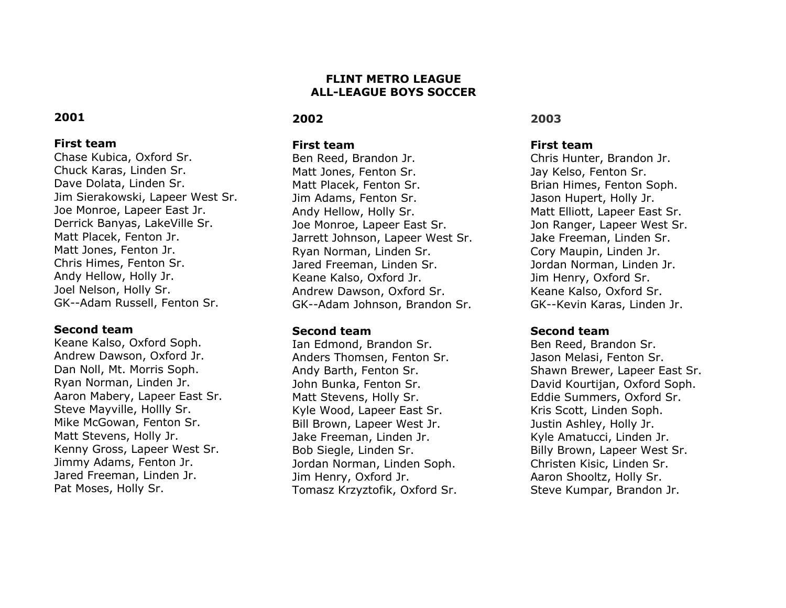## **FLINT METRO LEAGUE ALL-LEAGUE BOYS SOCCER**

### **2002**

### **First team**

Ben Reed, Brandon Jr. Matt Jones, Fenton Sr. Matt Placek, Fenton Sr. Jim Adams, Fenton Sr. Andy Hellow, Holly Sr. Joe Monroe, Lapeer East Sr. Jarrett Johnson, Lapeer West Sr. Ryan Norman, Linden Sr. Jared Freeman, Linden Sr. Keane Kalso, Oxford Jr. Andrew Dawson, Oxford Sr. GK--Adam Johnson, Brandon Sr.

#### **Second team**

Ian Edmond, Brandon Sr. Anders Thomsen, Fenton Sr. Andy Barth, Fenton Sr. John Bunka, Fenton Sr. Matt Stevens, Holly Sr. Kyle Wood, Lapeer East Sr. Bill Brown, Lapeer West Jr. Jake Freeman, Linden Jr. Bob Siegle, Linden Sr. Jordan Norman, Linden Soph. Jim Henry, Oxford Jr. Tomasz Krzyztofik, Oxford Sr.

### **2003**

## **First team**

Chris Hunter, Brandon Jr. Jay Kelso, Fenton Sr. Brian Himes, Fenton Soph. Jason Hupert, Holly Jr. Matt Elliott, Lapeer East Sr. Jon Ranger, Lapeer West Sr. Jake Freeman, Linden Sr. Cory Maupin, Linden Jr. Jordan Norman, Linden Jr. Jim Henry, Oxford Sr. Keane Kalso, Oxford Sr. GK--Kevin Karas, Linden Jr.

### **Second team**

Ben Reed, Brandon Sr. Jason Melasi, Fenton Sr. Shawn Brewer, Lapeer East Sr. David Kourtijan, Oxford Soph. Eddie Summers, Oxford Sr. Kris Scott, Linden Soph. Justin Ashley, Holly Jr. Kyle Amatucci, Linden Jr. Billy Brown, Lapeer West Sr. Christen Kisic, Linden Sr. Aaron Shooltz, Holly Sr. Steve Kumpar, Brandon Jr.

# **2001**

### **First team**

Chase Kubica, Oxford Sr. Chuck Karas, Linden Sr. Dave Dolata, Linden Sr. Jim Sierakowski, Lapeer West Sr. Joe Monroe, Lapeer East Jr. Derrick Banyas, LakeVille Sr. Matt Placek, Fenton Jr. Matt Jones, Fenton Jr. Chris Himes, Fenton Sr. Andy Hellow, Holly Jr. Joel Nelson, Holly Sr. GK--Adam Russell, Fenton Sr.

## **Second team**

Keane Kalso, Oxford Soph. Andrew Dawson, Oxford Jr. Dan Noll, Mt. Morris Soph. Ryan Norman, Linden Jr. Aaron Mabery, Lapeer East Sr. Steve Mayville, Hollly Sr. Mike McGowan, Fenton Sr. Matt Stevens, Holly Jr. Kenny Gross, Lapeer West Sr. Jimmy Adams, Fenton Jr. Jared Freeman, Linden Jr. Pat Moses, Holly Sr.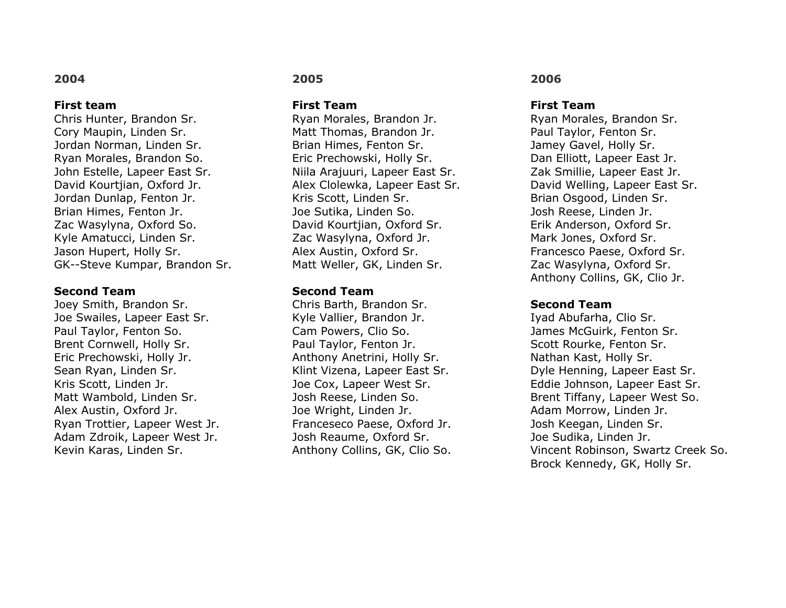#### **First team**

Chris Hunter, Brandon Sr. Cory Maupin, Linden Sr. Jordan Norman, Linden Sr. Ryan Morales, Brandon So. John Estelle, Lapeer East Sr. David Kourtjian, Oxford Jr. Jordan Dunlap, Fenton Jr. Brian Himes, Fenton Jr. Zac Wasylyna, Oxford So. Kyle Amatucci, Linden Sr. Jason Hupert, Holly Sr. GK--Steve Kumpar, Brandon Sr.

### **Second Team**

Joey Smith, Brandon Sr. Joe Swailes, Lapeer East Sr. Paul Taylor, Fenton So. Brent Cornwell, Holly Sr. Eric Prechowski, Holly Jr. Sean Ryan, Linden Sr. Kris Scott, Linden Jr. Matt Wambold, Linden Sr. Alex Austin, Oxford Jr. Ryan Trottier, Lapeer West Jr. Adam Zdroik, Lapeer West Jr. Kevin Karas, Linden Sr.

## **2005**

**First Team**

Ryan Morales, Brandon Jr. Matt Thomas, Brandon Jr. Brian Himes, Fenton Sr. Eric Prechowski, Holly Sr. Niila Arajuuri, Lapeer East Sr. Alex Clolewka, Lapeer East Sr. Kris Scott, Linden Sr. Joe Sutika, Linden So. David Kourtjian, Oxford Sr. Zac Wasylyna, Oxford Jr. Alex Austin, Oxford Sr. Matt Weller, GK, Linden Sr.

### **Second Team**

Chris Barth, Brandon Sr. Kyle Vallier, Brandon Jr. Cam Powers, Clio So. Paul Taylor, Fenton Jr. Anthony Anetrini, Holly Sr. Klint Vizena, Lapeer East Sr. Joe Cox, Lapeer West Sr. Josh Reese, Linden So. Joe Wright, Linden Jr. Franceseco Paese, Oxford Jr. Josh Reaume, Oxford Sr. Anthony Collins, GK, Clio So.

### **2006**

#### **First Team**

Ryan Morales, Brandon Sr. Paul Taylor, Fenton Sr. Jamey Gavel, Holly Sr. Dan Elliott, Lapeer East Jr. Zak Smillie, Lapeer East Jr. David Welling, Lapeer East Sr. Brian Osgood, Linden Sr. Josh Reese, Linden Jr. Erik Anderson, Oxford Sr. Mark Jones, Oxford Sr. Francesco Paese, Oxford Sr. Zac Wasylyna, Oxford Sr. Anthony Collins, GK, Clio Jr.

#### **Second Team**

Iyad Abufarha, Clio Sr. James McGuirk, Fenton Sr. Scott Rourke, Fenton Sr. Nathan Kast, Holly Sr. Dyle Henning, Lapeer East Sr. Eddie Johnson, Lapeer East Sr. Brent Tiffany, Lapeer West So. Adam Morrow, Linden Jr. Josh Keegan, Linden Sr. Joe Sudika, Linden Jr. Vincent Robinson, Swartz Creek So. Brock Kennedy, GK, Holly Sr.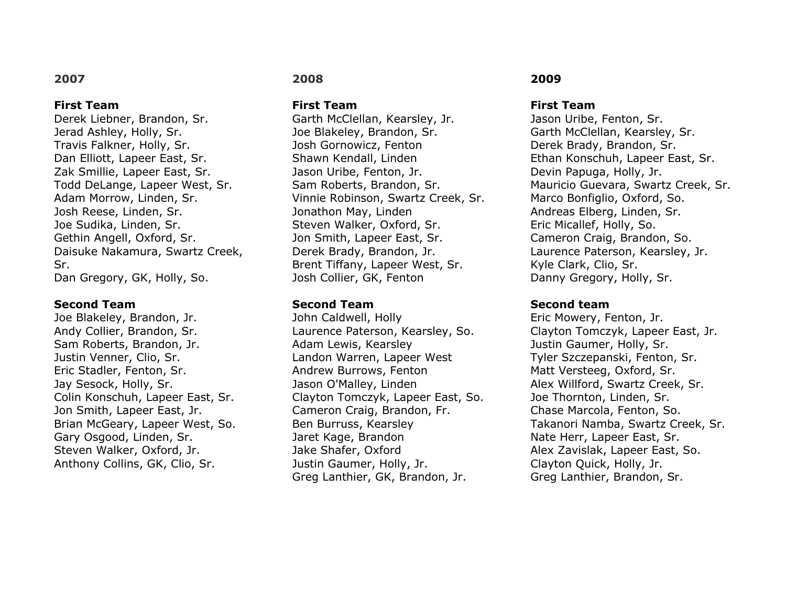#### **First Team**

Derek Liebner, Brandon, Sr. Jerad Ashley, Holly, Sr. Travis Falkner, Holly, Sr. Dan Elliott, Lapeer East, Sr. Zak Smillie, Lapeer East, Sr. Todd DeLange, Lapeer West, Sr. Adam Morrow, Linden, Sr. Josh Reese, Linden, Sr. Joe Sudika, Linden, Sr. Gethin Angell, Oxford, Sr. Daisuke Nakamura, Swartz Creek, Sr. Dan Gregory, GK, Holly, So.

#### **Second Team**

Joe Blakeley, Brandon, Jr. Andy Collier, Brandon, Sr. Sam Roberts, Brandon, Jr. Justin Venner, Clio, Sr. Eric Stadler, Fenton, Sr. Jay Sesock, Holly, Sr. Colin Konschuh, Lapeer East, Sr. Jon Smith, Lapeer East, Jr. Brian McGeary, Lapeer West, So. Gary Osgood, Linden, Sr. Steven Walker, Oxford, Jr. Anthony Collins, GK, Clio, Sr.

## **2008**

**First Team**

Garth McClellan, Kearsley, Jr. Joe Blakeley, Brandon, Sr. Josh Gornowicz, Fenton Shawn Kendall, Linden Jason Uribe, Fenton, Jr. Sam Roberts, Brandon, Sr. Vinnie Robinson, Swartz Creek, Sr. Jonathon May, Linden Steven Walker, Oxford, Sr. Jon Smith, Lapeer East, Sr. Derek Brady, Brandon, Jr. Brent Tiffany, Lapeer West, Sr. Josh Collier, GK, Fenton

#### **Second Team**

John Caldwell, Holly Laurence Paterson, Kearsley, So. Adam Lewis, Kearsley Landon Warren, Lapeer West Andrew Burrows, Fenton Jason O'Malley, Linden Clayton Tomczyk, Lapeer East, So. Cameron Craig, Brandon, Fr. Ben Burruss, Kearsley Jaret Kage, Brandon Jake Shafer, Oxford Justin Gaumer, Holly, Jr. Greg Lanthier, GK, Brandon, Jr.

## **2009**

#### **First Team**

Jason Uribe, Fenton, Sr. Garth McClellan, Kearsley, Sr. Derek Brady, Brandon, Sr. Ethan Konschuh, Lapeer East, Sr. Devin Papuga, Holly, Jr. Mauricio Guevara, Swartz Creek, Sr. Marco Bonfiglio, Oxford, So. Andreas Elberg, Linden, Sr. Eric Micallef, Holly, So. Cameron Craig, Brandon, So. Laurence Paterson, Kearsley, Jr. Kyle Clark, Clio, Sr. Danny Gregory, Holly, Sr.

#### **Second team**

Eric Mowery, Fenton, Jr. Clayton Tomczyk, Lapeer East, Jr. Justin Gaumer, Holly, Sr. Tyler Szczepanski, Fenton, Sr. Matt Versteeg, Oxford, Sr. Alex Willford, Swartz Creek, Sr. Joe Thornton, Linden, Sr. Chase Marcola, Fenton, So. Takanori Namba, Swartz Creek, Sr. Nate Herr, Lapeer East, Sr. Alex Zavislak, Lapeer East, So. Clayton Quick, Holly, Jr. Greg Lanthier, Brandon, Sr.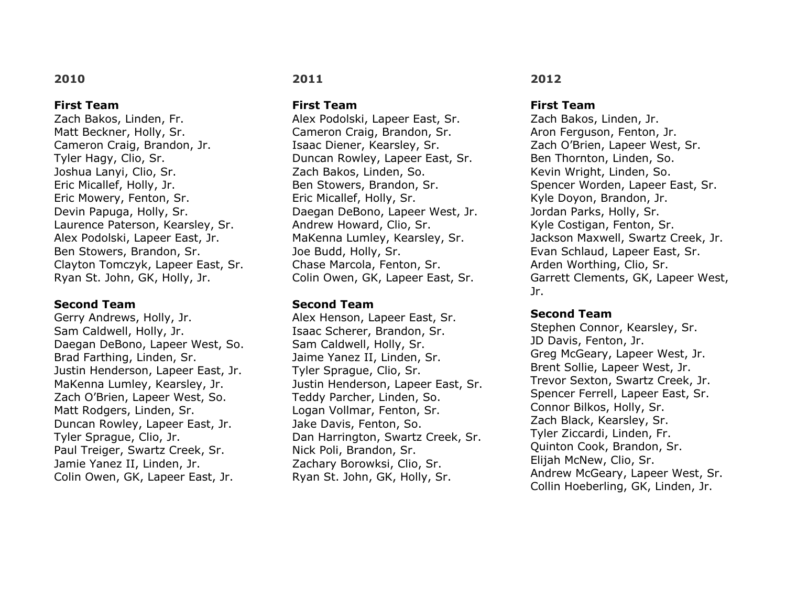### **First Team**

Zach Bakos, Linden, Fr. Matt Beckner, Holly, Sr. Cameron Craig, Brandon, Jr. Tyler Hagy, Clio, Sr. Joshua Lanyi, Clio, Sr. Eric Micallef, Holly, Jr. Eric Mowery, Fenton, Sr. Devin Papuga, Holly, Sr. Laurence Paterson, Kearsley, Sr. Alex Podolski, Lapeer East, Jr. Ben Stowers, Brandon, Sr. Clayton Tomczyk, Lapeer East, Sr. Ryan St. John, GK, Holly, Jr.

### **Second Team**

Gerry Andrews, Holly, Jr. Sam Caldwell, Holly, Jr. Daegan DeBono, Lapeer West, So. Brad Farthing, Linden, Sr. Justin Henderson, Lapeer East, Jr. MaKenna Lumley, Kearsley, Jr. Zach O'Brien, Lapeer West, So. Matt Rodgers, Linden, Sr. Duncan Rowley, Lapeer East, Jr. Tyler Sprague, Clio, Jr. Paul Treiger, Swartz Creek, Sr. Jamie Yanez II, Linden, Jr. Colin Owen, GK, Lapeer East, Jr.

## **2011**

**First Team**

Alex Podolski, Lapeer East, Sr. Cameron Craig, Brandon, Sr. Isaac Diener, Kearsley, Sr. Duncan Rowley, Lapeer East, Sr. Zach Bakos, Linden, So. Ben Stowers, Brandon, Sr. Eric Micallef, Holly, Sr. Daegan DeBono, Lapeer West, Jr. Andrew Howard, Clio, Sr. MaKenna Lumley, Kearsley, Sr. Joe Budd, Holly, Sr. Chase Marcola, Fenton, Sr. Colin Owen, GK, Lapeer East, Sr.

#### **Second Team**

Alex Henson, Lapeer East, Sr. Isaac Scherer, Brandon, Sr. Sam Caldwell, Holly, Sr. Jaime Yanez II, Linden, Sr. Tyler Sprague, Clio, Sr. Justin Henderson, Lapeer East, Sr. Teddy Parcher, Linden, So. Logan Vollmar, Fenton, Sr. Jake Davis, Fenton, So. Dan Harrington, Swartz Creek, Sr. Nick Poli, Brandon, Sr. Zachary Borowksi, Clio, Sr. Ryan St. John, GK, Holly, Sr.

## **2012**

#### **First Team**

Zach Bakos, Linden, Jr. Aron Ferguson, Fenton, Jr. Zach O'Brien, Lapeer West, Sr. Ben Thornton, Linden, So. Kevin Wright, Linden, So. Spencer Worden, Lapeer East, Sr. Kyle Doyon, Brandon, Jr. Jordan Parks, Holly, Sr. Kyle Costigan, Fenton, Sr. Jackson Maxwell, Swartz Creek, Jr. Evan Schlaud, Lapeer East, Sr. Arden Worthing, Clio, Sr. Garrett Clements, GK, Lapeer West, Jr.

### **Second Team**

Stephen Connor, Kearsley, Sr. JD Davis, Fenton, Jr. Greg McGeary, Lapeer West, Jr. Brent Sollie, Lapeer West, Jr. Trevor Sexton, Swartz Creek, Jr. Spencer Ferrell, Lapeer East, Sr. Connor Bilkos, Holly, Sr. Zach Black, Kearsley, Sr. Tyler Ziccardi, Linden, Fr. Quinton Cook, Brandon, Sr. Elijah McNew, Clio, Sr. Andrew McGeary, Lapeer West, Sr. Collin Hoeberling, GK, Linden, Jr.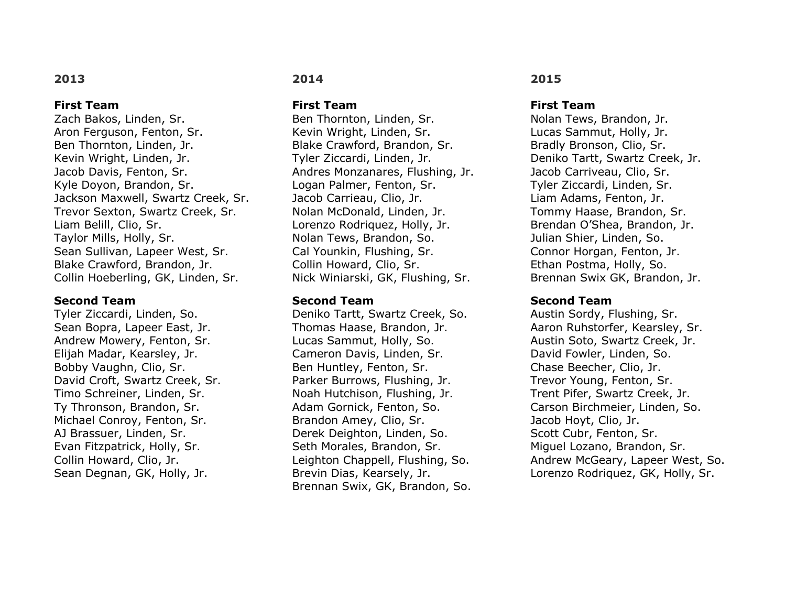### **First Team**

Zach Bakos, Linden, Sr. Aron Ferguson, Fenton, Sr. Ben Thornton, Linden, Jr. Kevin Wright, Linden, Jr. Jacob Davis, Fenton, Sr. Kyle Doyon, Brandon, Sr. Jackson Maxwell, Swartz Creek, Sr. Trevor Sexton, Swartz Creek, Sr. Liam Belill, Clio, Sr. Taylor Mills, Holly, Sr. Sean Sullivan, Lapeer West, Sr. Blake Crawford, Brandon, Jr. Collin Hoeberling, GK, Linden, Sr.

### **Second Team**

Tyler Ziccardi, Linden, So. Sean Bopra, Lapeer East, Jr. Andrew Mowery, Fenton, Sr. Elijah Madar, Kearsley, Jr. Bobby Vaughn, Clio, Sr. David Croft, Swartz Creek, Sr. Timo Schreiner, Linden, Sr. Ty Thronson, Brandon, Sr. Michael Conroy, Fenton, Sr. AJ Brassuer, Linden, Sr. Evan Fitzpatrick, Holly, Sr. Collin Howard, Clio, Jr. Sean Degnan, GK, Holly, Jr.

## **2014**

**First Team**

Ben Thornton, Linden, Sr. Kevin Wright, Linden, Sr. Blake Crawford, Brandon, Sr. Tyler Ziccardi, Linden, Jr. Andres Monzanares, Flushing, Jr. Logan Palmer, Fenton, Sr. Jacob Carrieau, Clio, Jr. Nolan McDonald, Linden, Jr. Lorenzo Rodriquez, Holly, Jr. Nolan Tews, Brandon, So. Cal Younkin, Flushing, Sr. Collin Howard, Clio, Sr. Nick Winiarski, GK, Flushing, Sr.

## **Second Team**

Deniko Tartt, Swartz Creek, So. Thomas Haase, Brandon, Jr. Lucas Sammut, Holly, So. Cameron Davis, Linden, Sr. Ben Huntley, Fenton, Sr. Parker Burrows, Flushing, Jr. Noah Hutchison, Flushing, Jr. Adam Gornick, Fenton, So. Brandon Amey, Clio, Sr. Derek Deighton, Linden, So. Seth Morales, Brandon, Sr. Leighton Chappell, Flushing, So. Brevin Dias, Kearsely, Jr. Brennan Swix, GK, Brandon, So.

## **2015**

#### **First Team**

Nolan Tews, Brandon, Jr. Lucas Sammut, Holly, Jr. Bradly Bronson, Clio, Sr. Deniko Tartt, Swartz Creek, Jr. Jacob Carriveau, Clio, Sr. Tyler Ziccardi, Linden, Sr. Liam Adams, Fenton, Jr. Tommy Haase, Brandon, Sr. Brendan O'Shea, Brandon, Jr. Julian Shier, Linden, So. Connor Horgan, Fenton, Jr. Ethan Postma, Holly, So. Brennan Swix GK, Brandon, Jr.

### **Second Team**

Austin Sordy, Flushing, Sr. Aaron Ruhstorfer, Kearsley, Sr. Austin Soto, Swartz Creek, Jr. David Fowler, Linden, So. Chase Beecher, Clio, Jr. Trevor Young, Fenton, Sr. Trent Pifer, Swartz Creek, Jr. Carson Birchmeier, Linden, So. Jacob Hoyt, Clio, Jr. Scott Cubr, Fenton, Sr. Miguel Lozano, Brandon, Sr. Andrew McGeary, Lapeer West, So. Lorenzo Rodriquez, GK, Holly, Sr.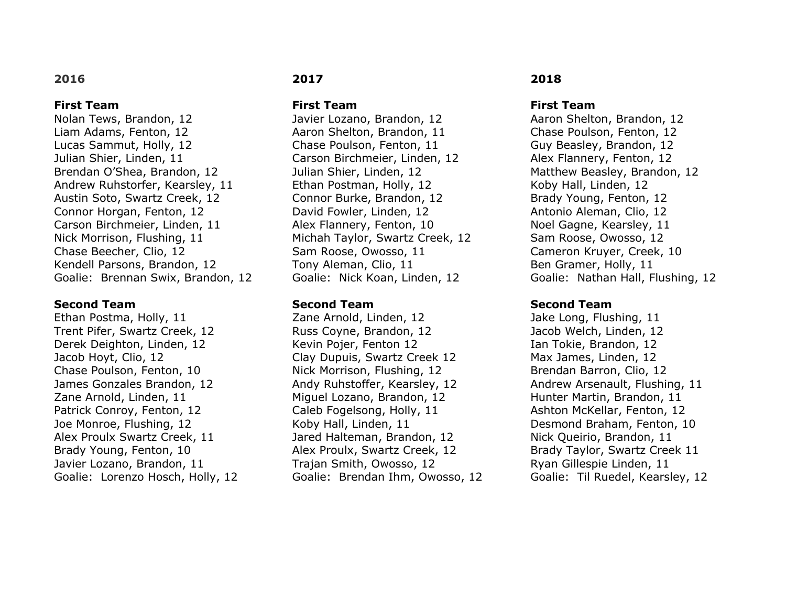### **First Team**

Nolan Tews, Brandon, 12 Liam Adams, Fenton, 12 Lucas Sammut, Holly, 12 Julian Shier, Linden, 11 Brendan O'Shea, Brandon, 12 Andrew Ruhstorfer, Kearsley, 11 Austin Soto, Swartz Creek, 12 Connor Horgan, Fenton, 12 Carson Birchmeier, Linden, 11 Nick Morrison, Flushing, 11 Chase Beecher, Clio, 12 Kendell Parsons, Brandon, 12 Goalie: Brennan Swix, Brandon, 12

#### **Second Team**

Ethan Postma, Holly, 11 Trent Pifer, Swartz Creek, 12 Derek Deighton, Linden, 12 Jacob Hoyt, Clio, 12 Chase Poulson, Fenton, 10 James Gonzales Brandon, 12 Zane Arnold, Linden, 11 Patrick Conroy, Fenton, 12 Joe Monroe, Flushing, 12 Alex Proulx Swartz Creek, 11 Brady Young, Fenton, 10 Javier Lozano, Brandon, 11 Goalie: Lorenzo Hosch, Holly, 12

## **2017**

**First Team**

Javier Lozano, Brandon, 12 Aaron Shelton, Brandon, 11 Chase Poulson, Fenton, 11 Carson Birchmeier, Linden, 12 Julian Shier, Linden, 12 Ethan Postman, Holly, 12 Connor Burke, Brandon, 12 David Fowler, Linden, 12 Alex Flannery, Fenton, 10 Michah Taylor, Swartz Creek, 12 Sam Roose, Owosso, 11 Tony Aleman, Clio, 11 Goalie: Nick Koan, Linden, 12

#### **Second Team**

Zane Arnold, Linden, 12 Russ Coyne, Brandon, 12 Kevin Pojer, Fenton 12 Clay Dupuis, Swartz Creek 12 Nick Morrison, Flushing, 12 Andy Ruhstoffer, Kearsley, 12 Miguel Lozano, Brandon, 12 Caleb Fogelsong, Holly, 11 Koby Hall, Linden, 11 Jared Halteman, Brandon, 12 Alex Proulx, Swartz Creek, 12 Trajan Smith, Owosso, 12 Goalie: Brendan Ihm, Owosso, 12

## **2018**

#### **First Team**

Aaron Shelton, Brandon, 12 Chase Poulson, Fenton, 12 Guy Beasley, Brandon, 12 Alex Flannery, Fenton, 12 Matthew Beasley, Brandon, 12 Koby Hall, Linden, 12 Brady Young, Fenton, 12 Antonio Aleman, Clio, 12 Noel Gagne, Kearsley, 11 Sam Roose, Owosso, 12 Cameron Kruyer, Creek, 10 Ben Gramer, Holly, 11 Goalie: Nathan Hall, Flushing, 12

#### **Second Team**

Jake Long, Flushing, 11 Jacob Welch, Linden, 12 Ian Tokie, Brandon, 12 Max James, Linden, 12 Brendan Barron, Clio, 12 Andrew Arsenault, Flushing, 11 Hunter Martin, Brandon, 11 Ashton McKellar, Fenton, 12 Desmond Braham, Fenton, 10 Nick Queirio, Brandon, 11 Brady Taylor, Swartz Creek 11 Ryan Gillespie Linden, 11 Goalie: Til Ruedel, Kearsley, 12